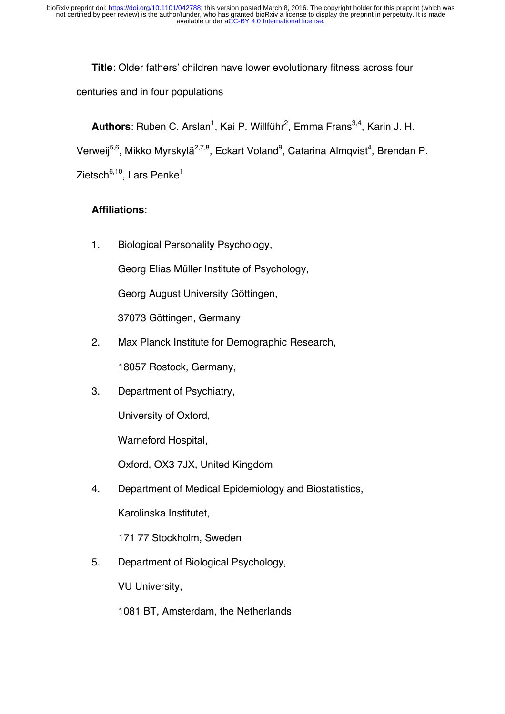**Title**: Older fathers' children have lower evolutionary fitness across four centuries and in four populations

**Authors**: Ruben C. Arslan<sup>1</sup>, Kai P. Willführ<sup>2</sup>, Emma Frans<sup>3,4</sup>, Karin J. H. Verweij<sup>5,6</sup>, Mikko Myrskylä<sup>2,7,8</sup>, Eckart Voland<sup>9</sup>, Catarina Almqvist<sup>4</sup>, Brendan P. Zietsch $6,10$ , Lars Penke $1$ 

### **Affiliations**:

1. Biological Personality Psychology,

Georg Elias Müller Institute of Psychology,

Georg August University Göttingen,

37073 Göttingen, Germany

2. Max Planck Institute for Demographic Research,

18057 Rostock, Germany,

3. Department of Psychiatry,

University of Oxford,

Warneford Hospital,

Oxford, OX3 7JX, United Kingdom

4. Department of Medical Epidemiology and Biostatistics, Karolinska Institutet,

171 77 Stockholm, Sweden

5. Department of Biological Psychology,

VU University,

1081 BT, Amsterdam, the Netherlands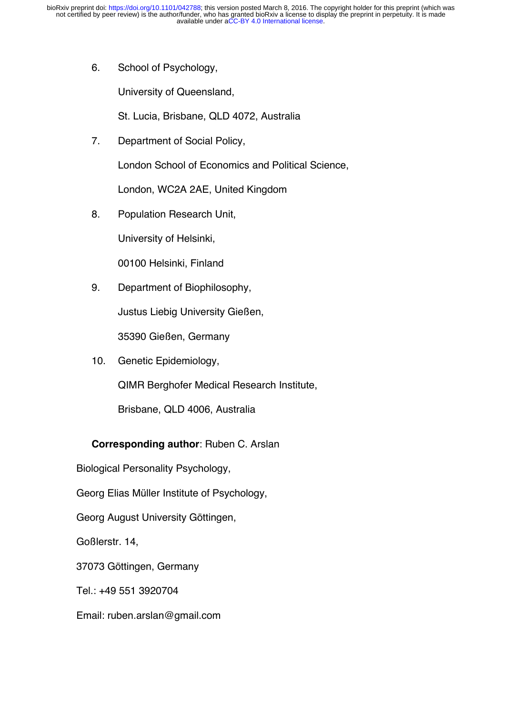6. School of Psychology,

University of Queensland,

St. Lucia, Brisbane, QLD 4072, Australia

7. Department of Social Policy,

London School of Economics and Political Science,

London, WC2A 2AE, United Kingdom

8. Population Research Unit,

University of Helsinki,

00100 Helsinki, Finland

9. Department of Biophilosophy,

Justus Liebig University Gießen,

35390 Gießen, Germany

10. Genetic Epidemiology,

QIMR Berghofer Medical Research Institute,

Brisbane, QLD 4006, Australia

#### **Corresponding author**: Ruben C. Arslan

Biological Personality Psychology,

Georg Elias Müller Institute of Psychology,

Georg August University Göttingen,

Goßlerstr. 14,

37073 Göttingen, Germany

Tel.: +49 551 3920704

Email: ruben.arslan@gmail.com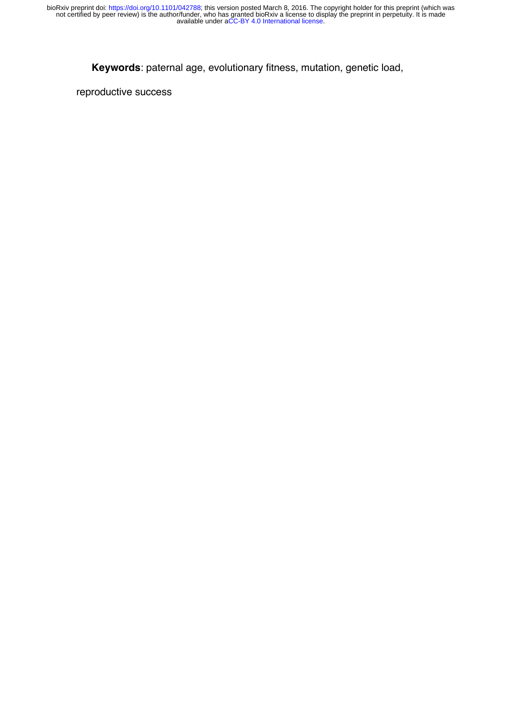**Keywords**: paternal age, evolutionary fitness, mutation, genetic load,

reproductive success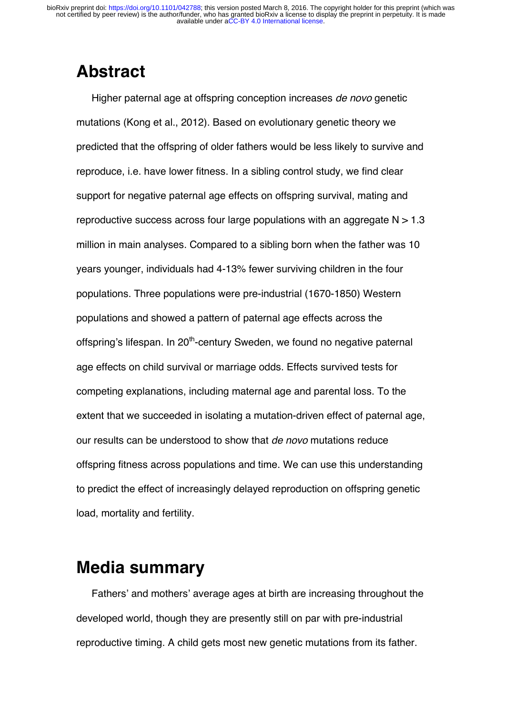## **Abstract**

Higher paternal age at offspring conception increases *de novo* genetic mutations (Kong et al., 2012). Based on evolutionary genetic theory we predicted that the offspring of older fathers would be less likely to survive and reproduce, i.e. have lower fitness. In a sibling control study, we find clear support for negative paternal age effects on offspring survival, mating and reproductive success across four large populations with an aggregate  $N > 1.3$ million in main analyses. Compared to a sibling born when the father was 10 years younger, individuals had 4-13% fewer surviving children in the four populations. Three populations were pre-industrial (1670-1850) Western populations and showed a pattern of paternal age effects across the offspring's lifespan. In 20<sup>th</sup>-century Sweden, we found no negative paternal age effects on child survival or marriage odds. Effects survived tests for competing explanations, including maternal age and parental loss. To the extent that we succeeded in isolating a mutation-driven effect of paternal age, our results can be understood to show that *de novo* mutations reduce offspring fitness across populations and time. We can use this understanding to predict the effect of increasingly delayed reproduction on offspring genetic load, mortality and fertility.

## **Media summary**

Fathers' and mothers' average ages at birth are increasing throughout the developed world, though they are presently still on par with pre-industrial reproductive timing. A child gets most new genetic mutations from its father.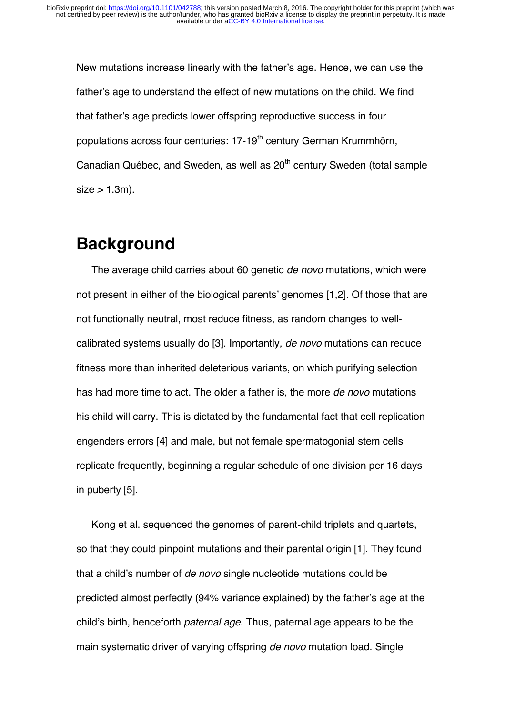New mutations increase linearly with the father's age. Hence, we can use the father's age to understand the effect of new mutations on the child. We find that father's age predicts lower offspring reproductive success in four populations across four centuries: 17-19<sup>th</sup> century German Krummhörn, Canadian Québec, and Sweden, as well as 20<sup>th</sup> century Sweden (total sample  $size > 1.3m$ ).

## **Background**

The average child carries about 60 genetic *de novo* mutations, which were not present in either of the biological parents' genomes [1,2]. Of those that are not functionally neutral, most reduce fitness, as random changes to wellcalibrated systems usually do [3]. Importantly, *de novo* mutations can reduce fitness more than inherited deleterious variants, on which purifying selection has had more time to act. The older a father is, the more *de novo* mutations his child will carry. This is dictated by the fundamental fact that cell replication engenders errors [4] and male, but not female spermatogonial stem cells replicate frequently, beginning a regular schedule of one division per 16 days in puberty [5].

Kong et al. sequenced the genomes of parent-child triplets and quartets, so that they could pinpoint mutations and their parental origin [1]. They found that a child's number of *de novo* single nucleotide mutations could be predicted almost perfectly (94% variance explained) by the father's age at the child's birth, henceforth *paternal age*. Thus, paternal age appears to be the main systematic driver of varying offspring *de novo* mutation load. Single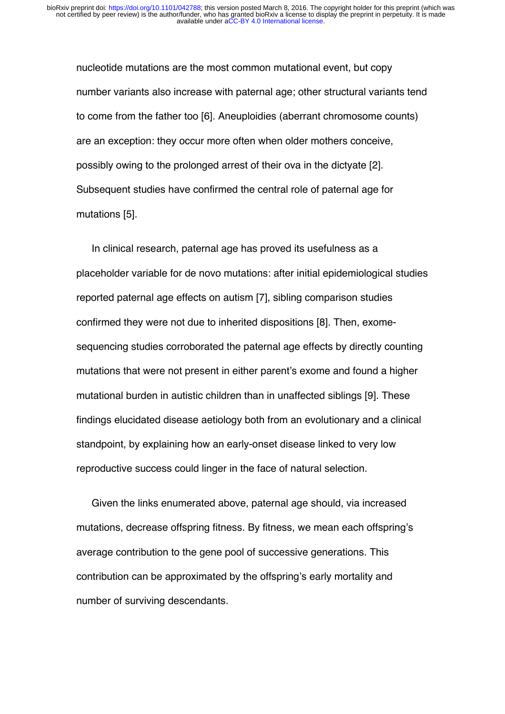nucleotide mutations are the most common mutational event, but copy number variants also increase with paternal age; other structural variants tend to come from the father too [6]. Aneuploidies (aberrant chromosome counts) are an exception: they occur more often when older mothers conceive, possibly owing to the prolonged arrest of their ova in the dictyate [2]. Subsequent studies have confirmed the central role of paternal age for mutations [5].

In clinical research, paternal age has proved its usefulness as a placeholder variable for de novo mutations: after initial epidemiological studies reported paternal age effects on autism [7], sibling comparison studies confirmed they were not due to inherited dispositions [8]. Then, exomesequencing studies corroborated the paternal age effects by directly counting mutations that were not present in either parent's exome and found a higher mutational burden in autistic children than in unaffected siblings [9]. These findings elucidated disease aetiology both from an evolutionary and a clinical standpoint, by explaining how an early-onset disease linked to very low reproductive success could linger in the face of natural selection.

Given the links enumerated above, paternal age should, via increased mutations, decrease offspring fitness. By fitness, we mean each offspring's average contribution to the gene pool of successive generations. This contribution can be approximated by the offspring's early mortality and number of surviving descendants.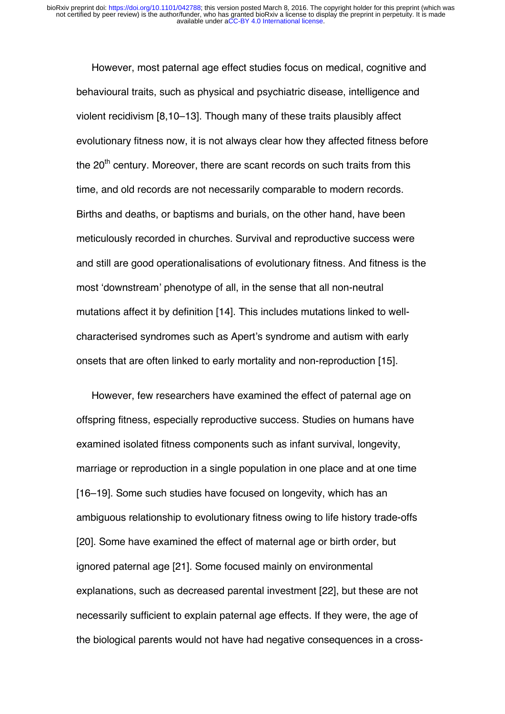However, most paternal age effect studies focus on medical, cognitive and behavioural traits, such as physical and psychiatric disease, intelligence and violent recidivism [8,10–13]. Though many of these traits plausibly affect evolutionary fitness now, it is not always clear how they affected fitness before the  $20<sup>th</sup>$  century. Moreover, there are scant records on such traits from this time, and old records are not necessarily comparable to modern records. Births and deaths, or baptisms and burials, on the other hand, have been meticulously recorded in churches. Survival and reproductive success were and still are good operationalisations of evolutionary fitness. And fitness is the most 'downstream' phenotype of all, in the sense that all non-neutral mutations affect it by definition [14]. This includes mutations linked to wellcharacterised syndromes such as Apert's syndrome and autism with early onsets that are often linked to early mortality and non-reproduction [15].

However, few researchers have examined the effect of paternal age on offspring fitness, especially reproductive success. Studies on humans have examined isolated fitness components such as infant survival, longevity, marriage or reproduction in a single population in one place and at one time [16–19]. Some such studies have focused on longevity, which has an ambiguous relationship to evolutionary fitness owing to life history trade-offs [20]. Some have examined the effect of maternal age or birth order, but ignored paternal age [21]. Some focused mainly on environmental explanations, such as decreased parental investment [22], but these are not necessarily sufficient to explain paternal age effects. If they were, the age of the biological parents would not have had negative consequences in a cross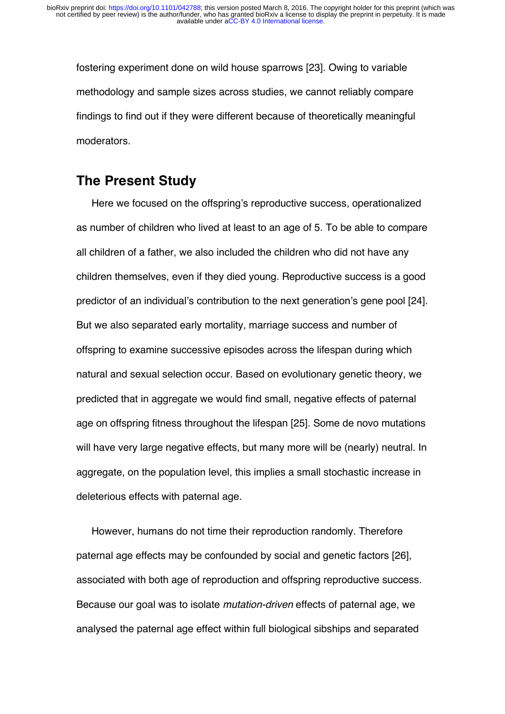fostering experiment done on wild house sparrows [23]. Owing to variable methodology and sample sizes across studies, we cannot reliably compare findings to find out if they were different because of theoretically meaningful moderators.

## **The Present Study**

Here we focused on the offspring's reproductive success, operationalized as number of children who lived at least to an age of 5. To be able to compare all children of a father, we also included the children who did not have any children themselves, even if they died young. Reproductive success is a good predictor of an individual's contribution to the next generation's gene pool [24]. But we also separated early mortality, marriage success and number of offspring to examine successive episodes across the lifespan during which natural and sexual selection occur. Based on evolutionary genetic theory, we predicted that in aggregate we would find small, negative effects of paternal age on offspring fitness throughout the lifespan [25]. Some de novo mutations will have very large negative effects, but many more will be (nearly) neutral. In aggregate, on the population level, this implies a small stochastic increase in deleterious effects with paternal age.

However, humans do not time their reproduction randomly. Therefore paternal age effects may be confounded by social and genetic factors [26], associated with both age of reproduction and offspring reproductive success. Because our goal was to isolate *mutation-driven* effects of paternal age, we analysed the paternal age effect within full biological sibships and separated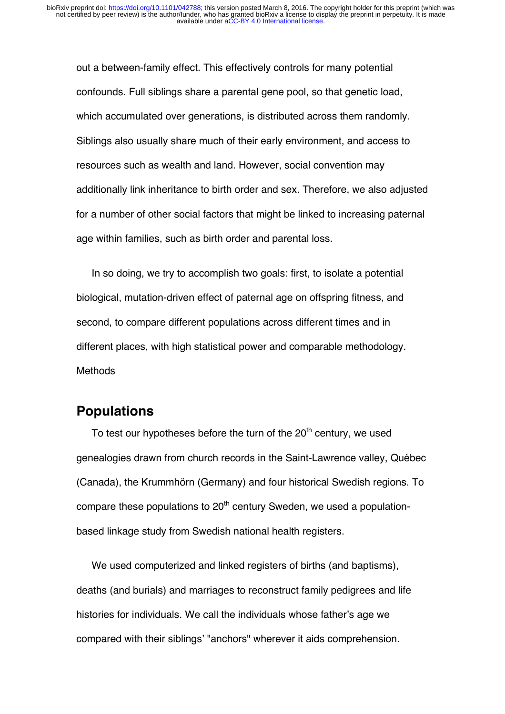out a between-family effect. This effectively controls for many potential confounds. Full siblings share a parental gene pool, so that genetic load, which accumulated over generations, is distributed across them randomly. Siblings also usually share much of their early environment, and access to resources such as wealth and land. However, social convention may additionally link inheritance to birth order and sex. Therefore, we also adjusted for a number of other social factors that might be linked to increasing paternal age within families, such as birth order and parental loss.

In so doing, we try to accomplish two goals: first, to isolate a potential biological, mutation-driven effect of paternal age on offspring fitness, and second, to compare different populations across different times and in different places, with high statistical power and comparable methodology. **Methods** 

## **Populations**

To test our hypotheses before the turn of the  $20<sup>th</sup>$  century, we used genealogies drawn from church records in the Saint-Lawrence valley, Québec (Canada), the Krummhörn (Germany) and four historical Swedish regions. To compare these populations to  $20<sup>th</sup>$  century Sweden, we used a populationbased linkage study from Swedish national health registers.

We used computerized and linked registers of births (and baptisms), deaths (and burials) and marriages to reconstruct family pedigrees and life histories for individuals. We call the individuals whose father's age we compared with their siblings' "anchors" wherever it aids comprehension.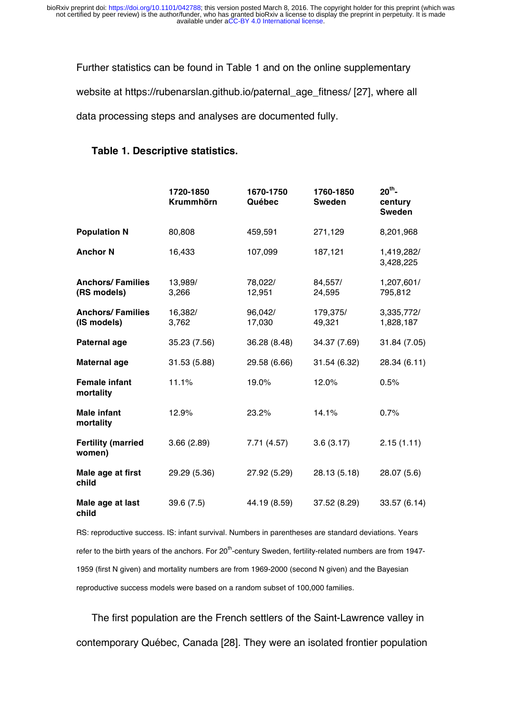Further statistics can be found in Table 1 and on the online supplementary

website at https://rubenarslan.github.io/paternal\_age\_fitness/ [27], where all

data processing steps and analyses are documented fully.

#### **Table 1. Descriptive statistics.**

|                                         | 1720-1850<br><b>Krummhörn</b> | 1670-1750<br>Québec | 1760-1850<br><b>Sweden</b> | $20th$ -<br>century<br><b>Sweden</b> |
|-----------------------------------------|-------------------------------|---------------------|----------------------------|--------------------------------------|
| <b>Population N</b>                     | 80,808                        | 459,591             | 271,129                    | 8,201,968                            |
| <b>Anchor N</b>                         | 16,433                        | 107,099             | 187,121                    | 1,419,282/<br>3,428,225              |
| <b>Anchors/ Families</b><br>(RS models) | 13,989/<br>3,266              | 78,022/<br>12,951   | 84,557/<br>24,595          | 1,207,601/<br>795,812                |
| <b>Anchors/ Families</b><br>(IS models) | 16,382/<br>3,762              | 96,042/<br>17,030   | 179,375/<br>49,321         | 3,335,772/<br>1,828,187              |
| <b>Paternal age</b>                     | 35.23 (7.56)                  | 36.28 (8.48)        | 34.37 (7.69)               | 31.84 (7.05)                         |
| <b>Maternal age</b>                     | 31.53 (5.88)                  | 29.58 (6.66)        | 31.54 (6.32)               | 28.34 (6.11)                         |
| <b>Female infant</b><br>mortality       | 11.1%                         | 19.0%               | 12.0%                      | 0.5%                                 |
| <b>Male infant</b><br>mortality         | 12.9%                         | 23.2%               | 14.1%                      | 0.7%                                 |
| <b>Fertility (married</b><br>women)     | 3.66(2.89)                    | 7.71(4.57)          | 3.6(3.17)                  | 2.15(1.11)                           |
| Male age at first<br>child              | 29.29 (5.36)                  | 27.92 (5.29)        | 28.13 (5.18)               | 28.07 (5.6)                          |
| Male age at last<br>child               | 39.6(7.5)                     | 44.19 (8.59)        | 37.52 (8.29)               | 33.57 (6.14)                         |

RS: reproductive success. IS: infant survival. Numbers in parentheses are standard deviations. Years refer to the birth years of the anchors. For 20<sup>th</sup>-century Sweden, fertility-related numbers are from 1947-1959 (first N given) and mortality numbers are from 1969-2000 (second N given) and the Bayesian reproductive success models were based on a random subset of 100,000 families.

The first population are the French settlers of the Saint-Lawrence valley in contemporary Québec, Canada [28]. They were an isolated frontier population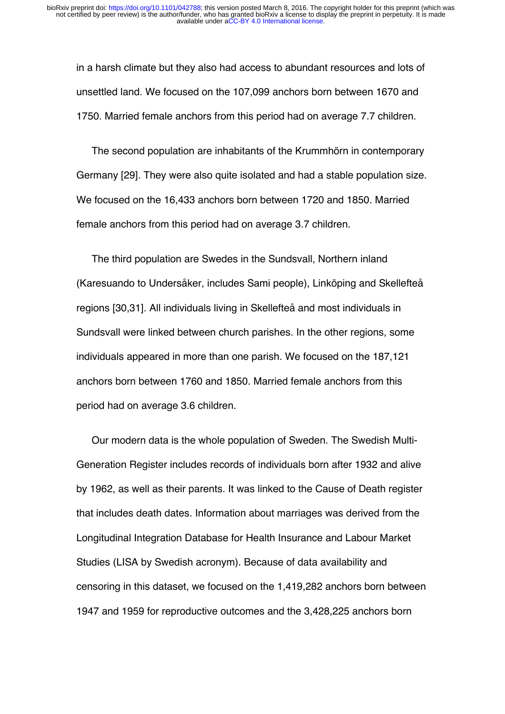in a harsh climate but they also had access to abundant resources and lots of unsettled land. We focused on the 107,099 anchors born between 1670 and 1750. Married female anchors from this period had on average 7.7 children.

The second population are inhabitants of the Krummhörn in contemporary Germany [29]. They were also quite isolated and had a stable population size. We focused on the 16,433 anchors born between 1720 and 1850. Married female anchors from this period had on average 3.7 children.

The third population are Swedes in the Sundsvall, Northern inland (Karesuando to Undersåker, includes Sami people), Linköping and Skellefteå regions [30,31]. All individuals living in Skellefteå and most individuals in Sundsvall were linked between church parishes. In the other regions, some individuals appeared in more than one parish. We focused on the 187,121 anchors born between 1760 and 1850. Married female anchors from this period had on average 3.6 children.

Our modern data is the whole population of Sweden. The Swedish Multi-Generation Register includes records of individuals born after 1932 and alive by 1962, as well as their parents. It was linked to the Cause of Death register that includes death dates. Information about marriages was derived from the Longitudinal Integration Database for Health Insurance and Labour Market Studies (LISA by Swedish acronym). Because of data availability and censoring in this dataset, we focused on the 1,419,282 anchors born between 1947 and 1959 for reproductive outcomes and the 3,428,225 anchors born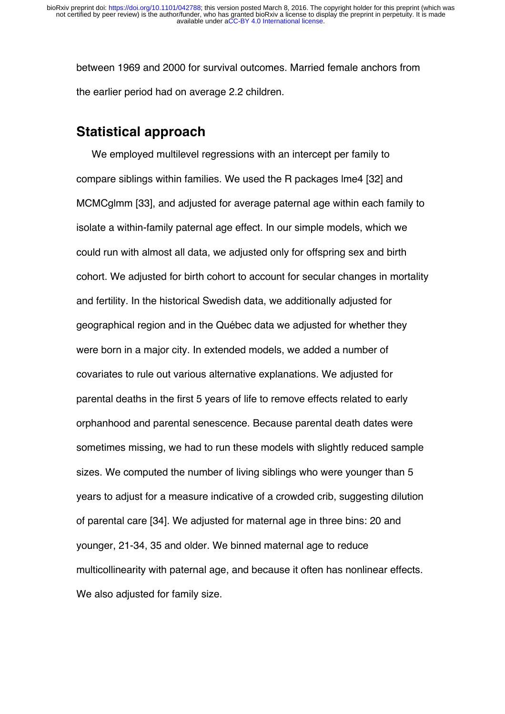between 1969 and 2000 for survival outcomes. Married female anchors from the earlier period had on average 2.2 children.

### **Statistical approach**

We employed multilevel regressions with an intercept per family to compare siblings within families. We used the R packages lme4 [32] and MCMCglmm [33], and adjusted for average paternal age within each family to isolate a within-family paternal age effect. In our simple models, which we could run with almost all data, we adjusted only for offspring sex and birth cohort. We adjusted for birth cohort to account for secular changes in mortality and fertility. In the historical Swedish data, we additionally adjusted for geographical region and in the Québec data we adjusted for whether they were born in a major city. In extended models, we added a number of covariates to rule out various alternative explanations. We adjusted for parental deaths in the first 5 years of life to remove effects related to early orphanhood and parental senescence. Because parental death dates were sometimes missing, we had to run these models with slightly reduced sample sizes. We computed the number of living siblings who were younger than 5 years to adjust for a measure indicative of a crowded crib, suggesting dilution of parental care [34]. We adjusted for maternal age in three bins: 20 and younger, 21-34, 35 and older. We binned maternal age to reduce multicollinearity with paternal age, and because it often has nonlinear effects. We also adjusted for family size.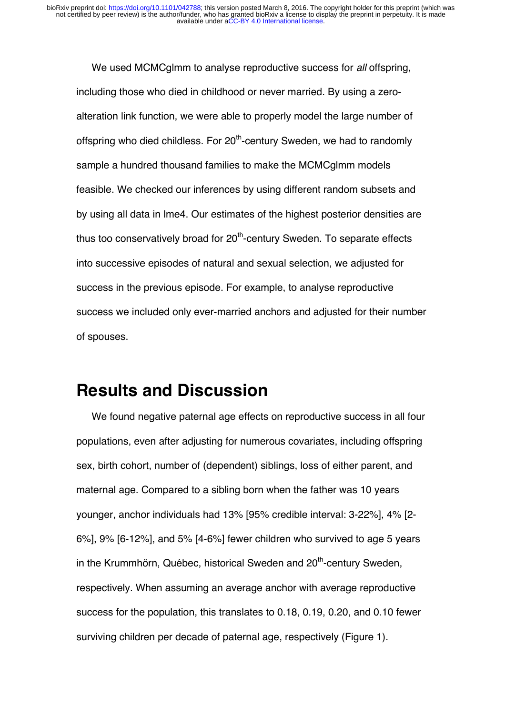We used MCMCglmm to analyse reproductive success for *all* offspring, including those who died in childhood or never married. By using a zeroalteration link function, we were able to properly model the large number of offspring who died childless. For  $20<sup>th</sup>$ -century Sweden, we had to randomly sample a hundred thousand families to make the MCMCglmm models feasible. We checked our inferences by using different random subsets and by using all data in lme4. Our estimates of the highest posterior densities are thus too conservatively broad for  $20<sup>th</sup>$ -century Sweden. To separate effects into successive episodes of natural and sexual selection, we adjusted for success in the previous episode. For example, to analyse reproductive success we included only ever-married anchors and adjusted for their number of spouses.

## **Results and Discussion**

We found negative paternal age effects on reproductive success in all four populations, even after adjusting for numerous covariates, including offspring sex, birth cohort, number of (dependent) siblings, loss of either parent, and maternal age. Compared to a sibling born when the father was 10 years younger, anchor individuals had 13% [95% credible interval: 3-22%], 4% [2- 6%], 9% [6-12%], and 5% [4-6%] fewer children who survived to age 5 years in the Krummhörn, Québec, historical Sweden and  $20<sup>th</sup>$ -century Sweden, respectively. When assuming an average anchor with average reproductive success for the population, this translates to 0.18, 0.19, 0.20, and 0.10 fewer surviving children per decade of paternal age, respectively (Figure 1).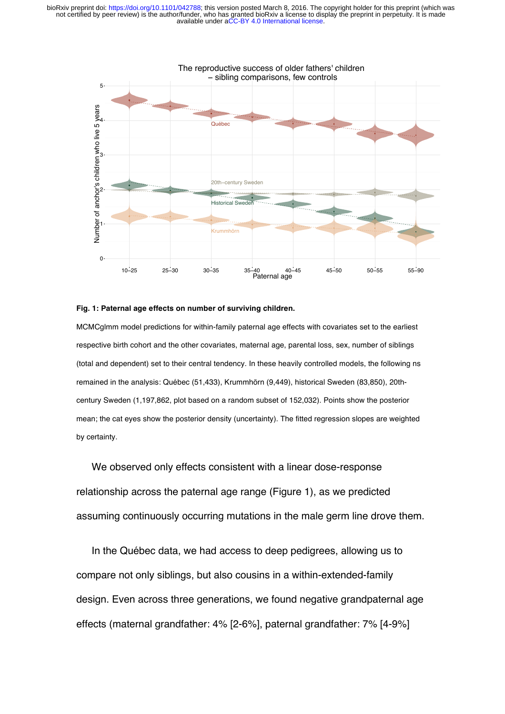

#### **Fig. 1: Paternal age effects on number of surviving children.**

MCMCglmm model predictions for within-family paternal age effects with covariates set to the earliest respective birth cohort and the other covariates, maternal age, parental loss, sex, number of siblings (total and dependent) set to their central tendency. In these heavily controlled models, the following ns remained in the analysis: Québec (51,433), Krummhörn (9,449), historical Sweden (83,850), 20thcentury Sweden (1,197,862, plot based on a random subset of 152,032). Points show the posterior mean; the cat eyes show the posterior density (uncertainty). The fitted regression slopes are weighted by certainty.

We observed only effects consistent with a linear dose-response relationship across the paternal age range (Figure 1), as we predicted assuming continuously occurring mutations in the male germ line drove them.

In the Québec data, we had access to deep pedigrees, allowing us to compare not only siblings, but also cousins in a within-extended-family design. Even across three generations, we found negative grandpaternal age effects (maternal grandfather: 4% [2-6%], paternal grandfather: 7% [4-9%]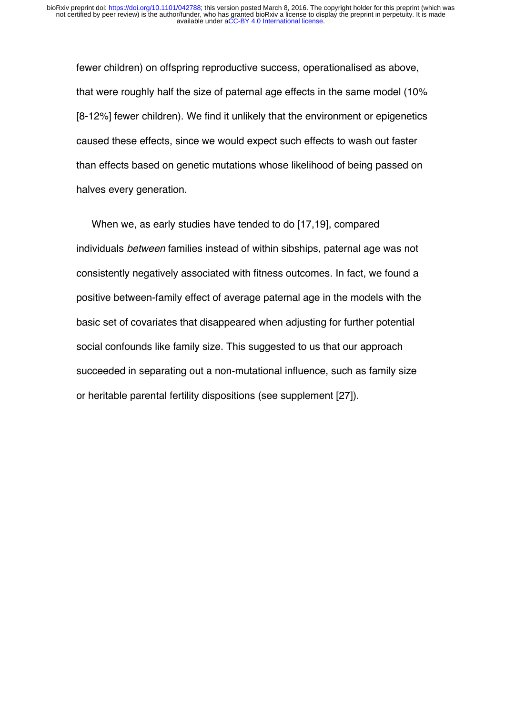fewer children) on offspring reproductive success, operationalised as above, that were roughly half the size of paternal age effects in the same model (10% [8-12%] fewer children). We find it unlikely that the environment or epigenetics caused these effects, since we would expect such effects to wash out faster than effects based on genetic mutations whose likelihood of being passed on halves every generation.

When we, as early studies have tended to do [17,19], compared individuals *between* families instead of within sibships, paternal age was not consistently negatively associated with fitness outcomes. In fact, we found a positive between-family effect of average paternal age in the models with the basic set of covariates that disappeared when adjusting for further potential social confounds like family size. This suggested to us that our approach succeeded in separating out a non-mutational influence, such as family size or heritable parental fertility dispositions (see supplement [27]).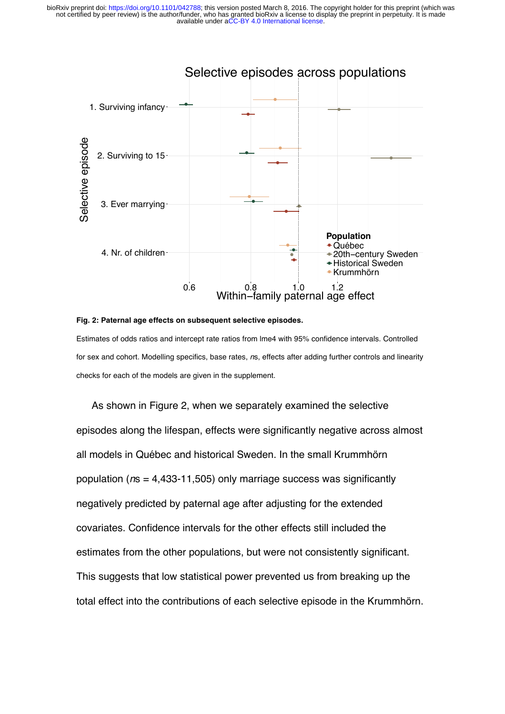

#### **Fig. 2: Paternal age effects on subsequent selective episodes.**

Estimates of odds ratios and intercept rate ratios from lme4 with 95% confidence intervals. Controlled for sex and cohort. Modelling specifics, base rates, *n*s, effects after adding further controls and linearity checks for each of the models are given in the supplement.

As shown in Figure 2, when we separately examined the selective episodes along the lifespan, effects were significantly negative across almost all models in Québec and historical Sweden. In the small Krummhörn population (*n*s = 4,433-11,505) only marriage success was significantly negatively predicted by paternal age after adjusting for the extended covariates. Confidence intervals for the other effects still included the estimates from the other populations, but were not consistently significant. This suggests that low statistical power prevented us from breaking up the total effect into the contributions of each selective episode in the Krummhörn.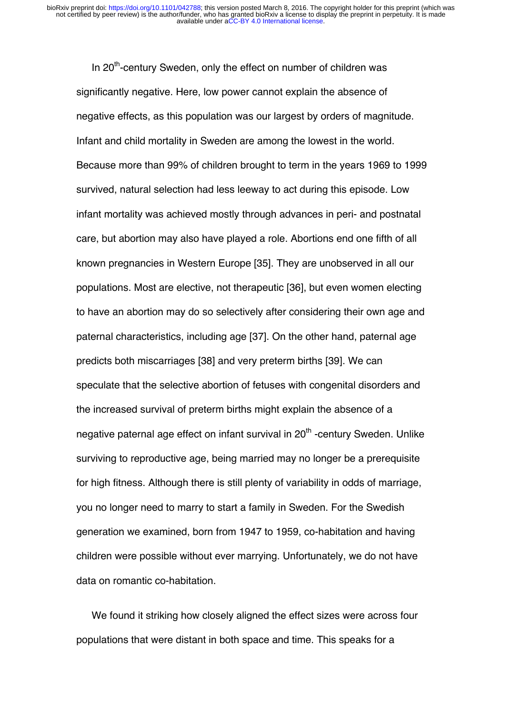In 20<sup>th</sup>-century Sweden, only the effect on number of children was significantly negative. Here, low power cannot explain the absence of negative effects, as this population was our largest by orders of magnitude. Infant and child mortality in Sweden are among the lowest in the world. Because more than 99% of children brought to term in the years 1969 to 1999 survived, natural selection had less leeway to act during this episode. Low infant mortality was achieved mostly through advances in peri- and postnatal care, but abortion may also have played a role. Abortions end one fifth of all known pregnancies in Western Europe [35]. They are unobserved in all our populations. Most are elective, not therapeutic [36], but even women electing to have an abortion may do so selectively after considering their own age and paternal characteristics, including age [37]. On the other hand, paternal age predicts both miscarriages [38] and very preterm births [39]. We can speculate that the selective abortion of fetuses with congenital disorders and the increased survival of preterm births might explain the absence of a negative paternal age effect on infant survival in 20<sup>th</sup> -century Sweden. Unlike surviving to reproductive age, being married may no longer be a prerequisite for high fitness. Although there is still plenty of variability in odds of marriage, you no longer need to marry to start a family in Sweden. For the Swedish generation we examined, born from 1947 to 1959, co-habitation and having children were possible without ever marrying. Unfortunately, we do not have data on romantic co-habitation.

We found it striking how closely aligned the effect sizes were across four populations that were distant in both space and time. This speaks for a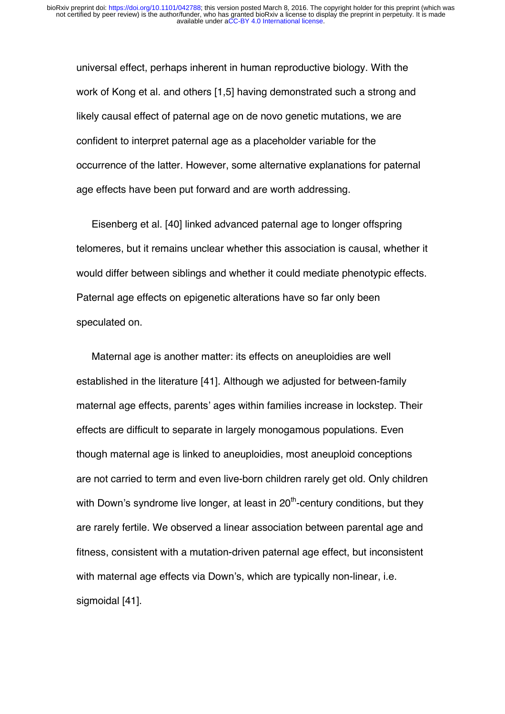universal effect, perhaps inherent in human reproductive biology. With the work of Kong et al. and others [1,5] having demonstrated such a strong and likely causal effect of paternal age on de novo genetic mutations, we are confident to interpret paternal age as a placeholder variable for the occurrence of the latter. However, some alternative explanations for paternal age effects have been put forward and are worth addressing.

Eisenberg et al. [40] linked advanced paternal age to longer offspring telomeres, but it remains unclear whether this association is causal, whether it would differ between siblings and whether it could mediate phenotypic effects. Paternal age effects on epigenetic alterations have so far only been speculated on.

Maternal age is another matter: its effects on aneuploidies are well established in the literature [41]. Although we adjusted for between-family maternal age effects, parents' ages within families increase in lockstep. Their effects are difficult to separate in largely monogamous populations. Even though maternal age is linked to aneuploidies, most aneuploid conceptions are not carried to term and even live-born children rarely get old. Only children with Down's syndrome live longer, at least in  $20<sup>th</sup>$ -century conditions, but they are rarely fertile. We observed a linear association between parental age and fitness, consistent with a mutation-driven paternal age effect, but inconsistent with maternal age effects via Down's, which are typically non-linear, i.e. sigmoidal [41].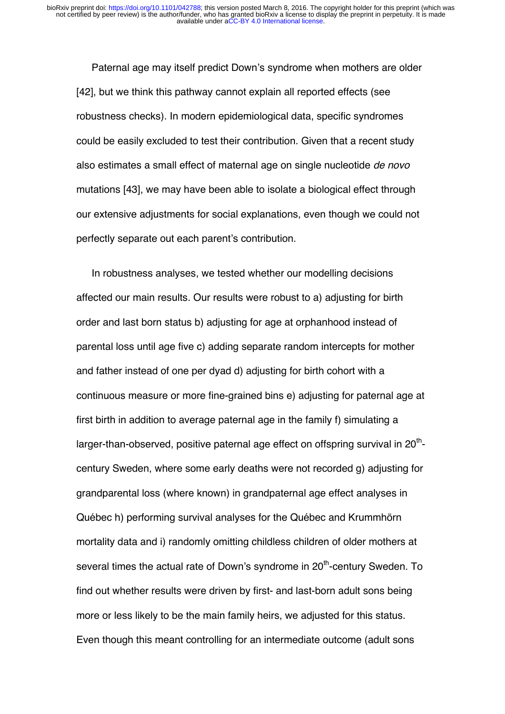Paternal age may itself predict Down's syndrome when mothers are older [42], but we think this pathway cannot explain all reported effects (see robustness checks). In modern epidemiological data, specific syndromes could be easily excluded to test their contribution. Given that a recent study also estimates a small effect of maternal age on single nucleotide *de novo*  mutations [43], we may have been able to isolate a biological effect through our extensive adjustments for social explanations, even though we could not perfectly separate out each parent's contribution.

In robustness analyses, we tested whether our modelling decisions affected our main results. Our results were robust to a) adjusting for birth order and last born status b) adjusting for age at orphanhood instead of parental loss until age five c) adding separate random intercepts for mother and father instead of one per dyad d) adjusting for birth cohort with a continuous measure or more fine-grained bins e) adjusting for paternal age at first birth in addition to average paternal age in the family f) simulating a larger-than-observed, positive paternal age effect on offspring survival in  $20<sup>th</sup>$ century Sweden, where some early deaths were not recorded g) adjusting for grandparental loss (where known) in grandpaternal age effect analyses in Québec h) performing survival analyses for the Québec and Krummhörn mortality data and i) randomly omitting childless children of older mothers at several times the actual rate of Down's syndrome in 20<sup>th</sup>-century Sweden. To find out whether results were driven by first- and last-born adult sons being more or less likely to be the main family heirs, we adjusted for this status. Even though this meant controlling for an intermediate outcome (adult sons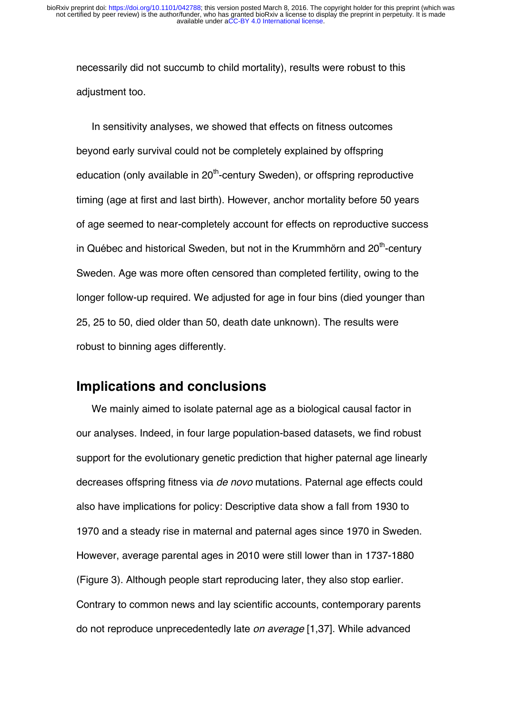necessarily did not succumb to child mortality), results were robust to this adjustment too.

In sensitivity analyses, we showed that effects on fitness outcomes beyond early survival could not be completely explained by offspring education (only available in  $20<sup>th</sup>$ -century Sweden), or offspring reproductive timing (age at first and last birth). However, anchor mortality before 50 years of age seemed to near-completely account for effects on reproductive success in Québec and historical Sweden, but not in the Krummhörn and  $20<sup>th</sup>$ -century Sweden. Age was more often censored than completed fertility, owing to the longer follow-up required. We adjusted for age in four bins (died younger than 25, 25 to 50, died older than 50, death date unknown). The results were robust to binning ages differently.

## **Implications and conclusions**

We mainly aimed to isolate paternal age as a biological causal factor in our analyses. Indeed, in four large population-based datasets, we find robust support for the evolutionary genetic prediction that higher paternal age linearly decreases offspring fitness via *de novo* mutations. Paternal age effects could also have implications for policy: Descriptive data show a fall from 1930 to 1970 and a steady rise in maternal and paternal ages since 1970 in Sweden. However, average parental ages in 2010 were still lower than in 1737-1880 (Figure 3). Although people start reproducing later, they also stop earlier. Contrary to common news and lay scientific accounts, contemporary parents do not reproduce unprecedentedly late *on average* [1,37]. While advanced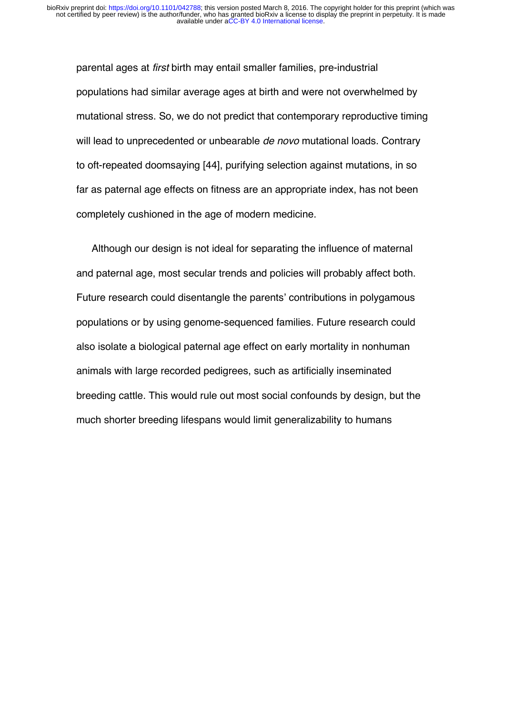parental ages at *first* birth may entail smaller families, pre-industrial populations had similar average ages at birth and were not overwhelmed by mutational stress. So, we do not predict that contemporary reproductive timing will lead to unprecedented or unbearable *de novo* mutational loads. Contrary to oft-repeated doomsaying [44], purifying selection against mutations, in so far as paternal age effects on fitness are an appropriate index, has not been completely cushioned in the age of modern medicine.

Although our design is not ideal for separating the influence of maternal and paternal age, most secular trends and policies will probably affect both. Future research could disentangle the parents' contributions in polygamous populations or by using genome-sequenced families. Future research could also isolate a biological paternal age effect on early mortality in nonhuman animals with large recorded pedigrees, such as artificially inseminated breeding cattle. This would rule out most social confounds by design, but the much shorter breeding lifespans would limit generalizability to humans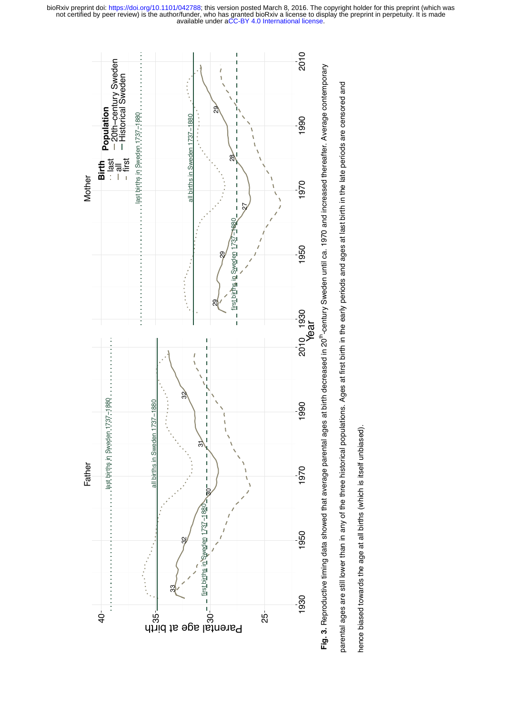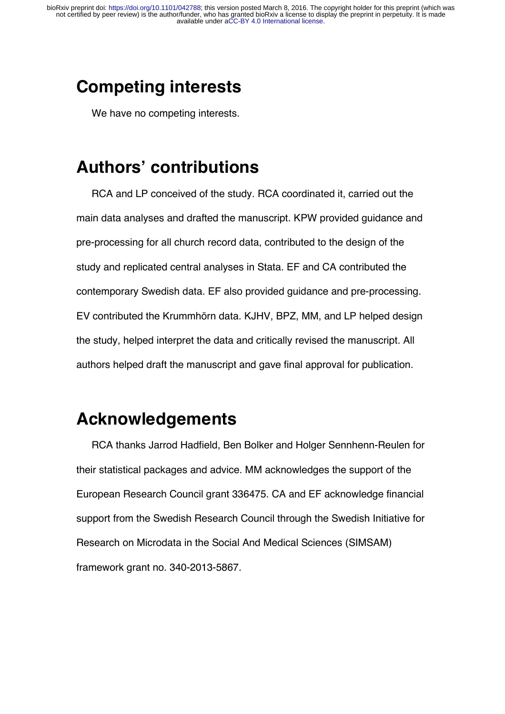# **Competing interests**

We have no competing interests.

# **Authors' contributions**

RCA and LP conceived of the study. RCA coordinated it, carried out the main data analyses and drafted the manuscript. KPW provided guidance and pre-processing for all church record data, contributed to the design of the study and replicated central analyses in Stata. EF and CA contributed the contemporary Swedish data. EF also provided guidance and pre-processing. EV contributed the Krummhörn data. KJHV, BPZ, MM, and LP helped design the study, helped interpret the data and critically revised the manuscript. All authors helped draft the manuscript and gave final approval for publication.

# **Acknowledgements**

RCA thanks Jarrod Hadfield, Ben Bolker and Holger Sennhenn-Reulen for their statistical packages and advice. MM acknowledges the support of the European Research Council grant 336475. CA and EF acknowledge financial support from the Swedish Research Council through the Swedish Initiative for Research on Microdata in the Social And Medical Sciences (SIMSAM) framework grant no. 340-2013-5867.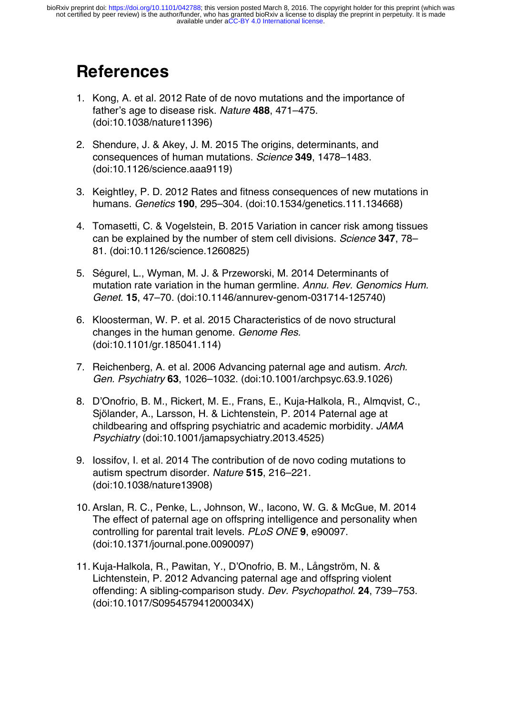# **References**

- 1. Kong, A. et al. 2012 Rate of de novo mutations and the importance of father's age to disease risk. *Nature* **488**, 471–475. (doi:10.1038/nature11396)
- 2. Shendure, J. & Akey, J. M. 2015 The origins, determinants, and consequences of human mutations. *Science* **349**, 1478–1483. (doi:10.1126/science.aaa9119)
- 3. Keightley, P. D. 2012 Rates and fitness consequences of new mutations in humans. *Genetics* **190**, 295–304. (doi:10.1534/genetics.111.134668)
- 4. Tomasetti, C. & Vogelstein, B. 2015 Variation in cancer risk among tissues can be explained by the number of stem cell divisions. *Science* **347**, 78– 81. (doi:10.1126/science.1260825)
- 5. Ségurel, L., Wyman, M. J. & Przeworski, M. 2014 Determinants of mutation rate variation in the human germline. *Annu. Rev. Genomics Hum. Genet.* **15**, 47–70. (doi:10.1146/annurev-genom-031714-125740)
- 6. Kloosterman, W. P. et al. 2015 Characteristics of de novo structural changes in the human genome. *Genome Res.* (doi:10.1101/gr.185041.114)
- 7. Reichenberg, A. et al. 2006 Advancing paternal age and autism. *Arch. Gen. Psychiatry* **63**, 1026–1032. (doi:10.1001/archpsyc.63.9.1026)
- 8. D'Onofrio, B. M., Rickert, M. E., Frans, E., Kuja-Halkola, R., Almqvist, C., Sjölander, A., Larsson, H. & Lichtenstein, P. 2014 Paternal age at childbearing and offspring psychiatric and academic morbidity. *JAMA Psychiatry* (doi:10.1001/jamapsychiatry.2013.4525)
- 9. Iossifov, I. et al. 2014 The contribution of de novo coding mutations to autism spectrum disorder. *Nature* **515**, 216–221. (doi:10.1038/nature13908)
- 10. Arslan, R. C., Penke, L., Johnson, W., Iacono, W. G. & McGue, M. 2014 The effect of paternal age on offspring intelligence and personality when controlling for parental trait levels. *PLoS ONE* **9**, e90097. (doi:10.1371/journal.pone.0090097)
- 11. Kuja-Halkola, R., Pawitan, Y., D'Onofrio, B. M., Långström, N. & Lichtenstein, P. 2012 Advancing paternal age and offspring violent offending: A sibling-comparison study. *Dev. Psychopathol.* **24**, 739–753. (doi:10.1017/S095457941200034X)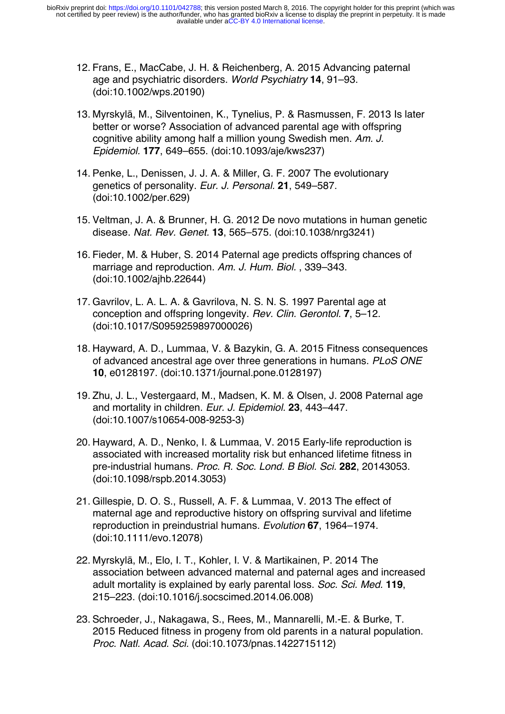- 12. Frans, E., MacCabe, J. H. & Reichenberg, A. 2015 Advancing paternal age and psychiatric disorders. *World Psychiatry* **14**, 91–93. (doi:10.1002/wps.20190)
- 13. Myrskylä, M., Silventoinen, K., Tynelius, P. & Rasmussen, F. 2013 Is later better or worse? Association of advanced parental age with offspring cognitive ability among half a million young Swedish men. *Am. J. Epidemiol.* **177**, 649–655. (doi:10.1093/aje/kws237)
- 14. Penke, L., Denissen, J. J. A. & Miller, G. F. 2007 The evolutionary genetics of personality. *Eur. J. Personal.* **21**, 549–587. (doi:10.1002/per.629)
- 15. Veltman, J. A. & Brunner, H. G. 2012 De novo mutations in human genetic disease. *Nat. Rev. Genet.* **13**, 565–575. (doi:10.1038/nrg3241)
- 16. Fieder, M. & Huber, S. 2014 Paternal age predicts offspring chances of marriage and reproduction. *Am. J. Hum. Biol.* , 339–343. (doi:10.1002/ajhb.22644)
- 17. Gavrilov, L. A. L. A. & Gavrilova, N. S. N. S. 1997 Parental age at conception and offspring longevity. *Rev. Clin. Gerontol.* **7**, 5–12. (doi:10.1017/S0959259897000026)
- 18. Hayward, A. D., Lummaa, V. & Bazykin, G. A. 2015 Fitness consequences of advanced ancestral age over three generations in humans. *PLoS ONE* **10**, e0128197. (doi:10.1371/journal.pone.0128197)
- 19. Zhu, J. L., Vestergaard, M., Madsen, K. M. & Olsen, J. 2008 Paternal age and mortality in children. *Eur. J. Epidemiol.* **23**, 443–447. (doi:10.1007/s10654-008-9253-3)
- 20. Hayward, A. D., Nenko, I. & Lummaa, V. 2015 Early-life reproduction is associated with increased mortality risk but enhanced lifetime fitness in pre-industrial humans. *Proc. R. Soc. Lond. B Biol. Sci.* **282**, 20143053. (doi:10.1098/rspb.2014.3053)
- 21. Gillespie, D. O. S., Russell, A. F. & Lummaa, V. 2013 The effect of maternal age and reproductive history on offspring survival and lifetime reproduction in preindustrial humans. *Evolution* **67**, 1964–1974. (doi:10.1111/evo.12078)
- 22. Myrskylä, M., Elo, I. T., Kohler, I. V. & Martikainen, P. 2014 The association between advanced maternal and paternal ages and increased adult mortality is explained by early parental loss. *Soc. Sci. Med.* **119**, 215–223. (doi:10.1016/j.socscimed.2014.06.008)
- 23. Schroeder, J., Nakagawa, S., Rees, M., Mannarelli, M.-E. & Burke, T. 2015 Reduced fitness in progeny from old parents in a natural population. *Proc. Natl. Acad. Sci.* (doi:10.1073/pnas.1422715112)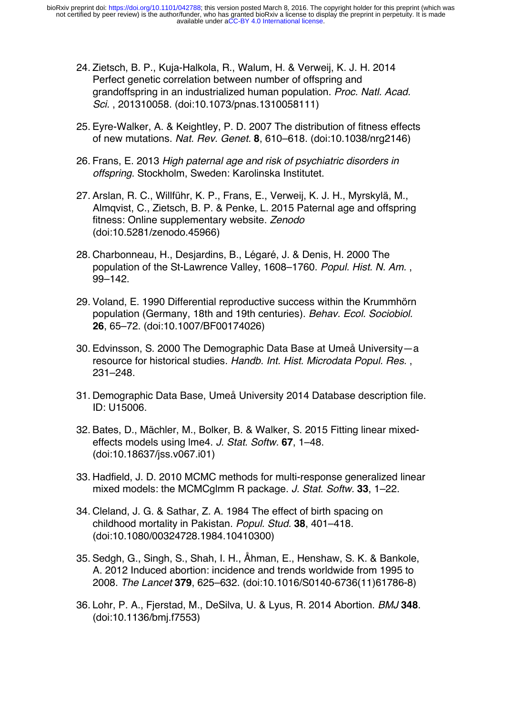- 24. Zietsch, B. P., Kuja-Halkola, R., Walum, H. & Verweij, K. J. H. 2014 Perfect genetic correlation between number of offspring and grandoffspring in an industrialized human population. *Proc. Natl. Acad. Sci.* , 201310058. (doi:10.1073/pnas.1310058111)
- 25. Eyre-Walker, A. & Keightley, P. D. 2007 The distribution of fitness effects of new mutations. *Nat. Rev. Genet.* **8**, 610–618. (doi:10.1038/nrg2146)
- 26. Frans, E. 2013 *High paternal age and risk of psychiatric disorders in offspring*. Stockholm, Sweden: Karolinska Institutet.
- 27. Arslan, R. C., Willführ, K. P., Frans, E., Verweij, K. J. H., Myrskylä, M., Almqvist, C., Zietsch, B. P. & Penke, L. 2015 Paternal age and offspring fitness: Online supplementary website. *Zenodo* (doi:10.5281/zenodo.45966)
- 28. Charbonneau, H., Desjardins, B., Légaré, J. & Denis, H. 2000 The population of the St-Lawrence Valley, 1608–1760. *Popul. Hist. N. Am.* , 99–142.
- 29. Voland, E. 1990 Differential reproductive success within the Krummhörn population (Germany, 18th and 19th centuries). *Behav. Ecol. Sociobiol.* **26**, 65–72. (doi:10.1007/BF00174026)
- 30. Edvinsson, S. 2000 The Demographic Data Base at Umeå University—a resource for historical studies. *Handb. Int. Hist. Microdata Popul. Res.* , 231–248.
- 31. Demographic Data Base, Umeå University 2014 Database description file. ID: U15006.
- 32. Bates, D., Mächler, M., Bolker, B. & Walker, S. 2015 Fitting linear mixedeffects models using lme4. *J. Stat. Softw.* **67**, 1–48. (doi:10.18637/jss.v067.i01)
- 33. Hadfield, J. D. 2010 MCMC methods for multi-response generalized linear mixed models: the MCMCglmm R package. *J. Stat. Softw.* **33**, 1–22.
- 34. Cleland, J. G. & Sathar, Z. A. 1984 The effect of birth spacing on childhood mortality in Pakistan. *Popul. Stud.* **38**, 401–418. (doi:10.1080/00324728.1984.10410300)
- 35. Sedgh, G., Singh, S., Shah, I. H., Åhman, E., Henshaw, S. K. & Bankole, A. 2012 Induced abortion: incidence and trends worldwide from 1995 to 2008. *The Lancet* **379**, 625–632. (doi:10.1016/S0140-6736(11)61786-8)
- 36. Lohr, P. A., Fjerstad, M., DeSilva, U. & Lyus, R. 2014 Abortion. *BMJ* **348**. (doi:10.1136/bmj.f7553)